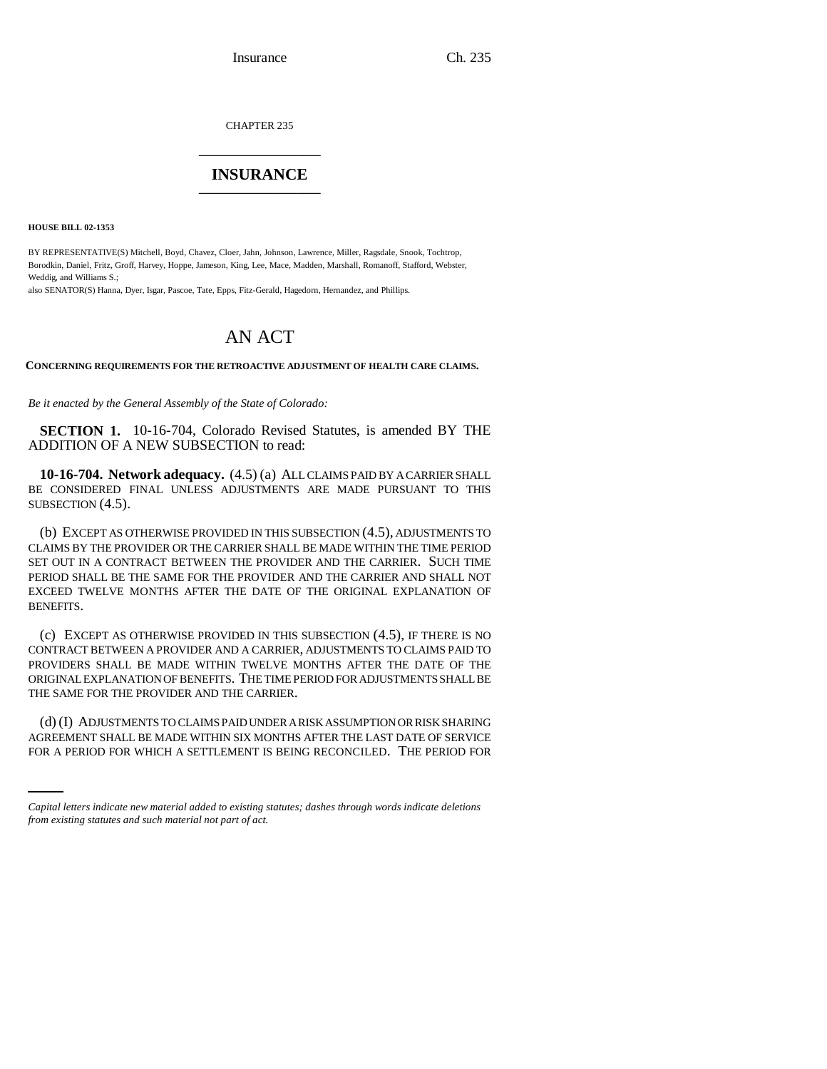CHAPTER 235 \_\_\_\_\_\_\_\_\_\_\_\_\_\_\_

## **INSURANCE** \_\_\_\_\_\_\_\_\_\_\_\_\_\_\_

**HOUSE BILL 02-1353**

BY REPRESENTATIVE(S) Mitchell, Boyd, Chavez, Cloer, Jahn, Johnson, Lawrence, Miller, Ragsdale, Snook, Tochtrop, Borodkin, Daniel, Fritz, Groff, Harvey, Hoppe, Jameson, King, Lee, Mace, Madden, Marshall, Romanoff, Stafford, Webster, Weddig, and Williams S.;

also SENATOR(S) Hanna, Dyer, Isgar, Pascoe, Tate, Epps, Fitz-Gerald, Hagedorn, Hernandez, and Phillips.

# AN ACT

**CONCERNING REQUIREMENTS FOR THE RETROACTIVE ADJUSTMENT OF HEALTH CARE CLAIMS.**

*Be it enacted by the General Assembly of the State of Colorado:*

**SECTION 1.** 10-16-704, Colorado Revised Statutes, is amended BY THE ADDITION OF A NEW SUBSECTION to read:

**10-16-704. Network adequacy.** (4.5) (a) ALL CLAIMS PAID BY A CARRIER SHALL BE CONSIDERED FINAL UNLESS ADJUSTMENTS ARE MADE PURSUANT TO THIS SUBSECTION  $(4.5)$ .

(b) EXCEPT AS OTHERWISE PROVIDED IN THIS SUBSECTION (4.5), ADJUSTMENTS TO CLAIMS BY THE PROVIDER OR THE CARRIER SHALL BE MADE WITHIN THE TIME PERIOD SET OUT IN A CONTRACT BETWEEN THE PROVIDER AND THE CARRIER. SUCH TIME PERIOD SHALL BE THE SAME FOR THE PROVIDER AND THE CARRIER AND SHALL NOT EXCEED TWELVE MONTHS AFTER THE DATE OF THE ORIGINAL EXPLANATION OF BENEFITS.

(c) EXCEPT AS OTHERWISE PROVIDED IN THIS SUBSECTION (4.5), IF THERE IS NO CONTRACT BETWEEN A PROVIDER AND A CARRIER, ADJUSTMENTS TO CLAIMS PAID TO PROVIDERS SHALL BE MADE WITHIN TWELVE MONTHS AFTER THE DATE OF THE ORIGINAL EXPLANATION OF BENEFITS. THE TIME PERIOD FOR ADJUSTMENTS SHALL BE THE SAME FOR THE PROVIDER AND THE CARRIER.

(d) (I) ADJUSTMENTS TO CLAIMS PAID UNDER A RISK ASSUMPTION OR RISK SHARING AGREEMENT SHALL BE MADE WITHIN SIX MONTHS AFTER THE LAST DATE OF SERVICE FOR A PERIOD FOR WHICH A SETTLEMENT IS BEING RECONCILED. THE PERIOD FOR

*Capital letters indicate new material added to existing statutes; dashes through words indicate deletions from existing statutes and such material not part of act.*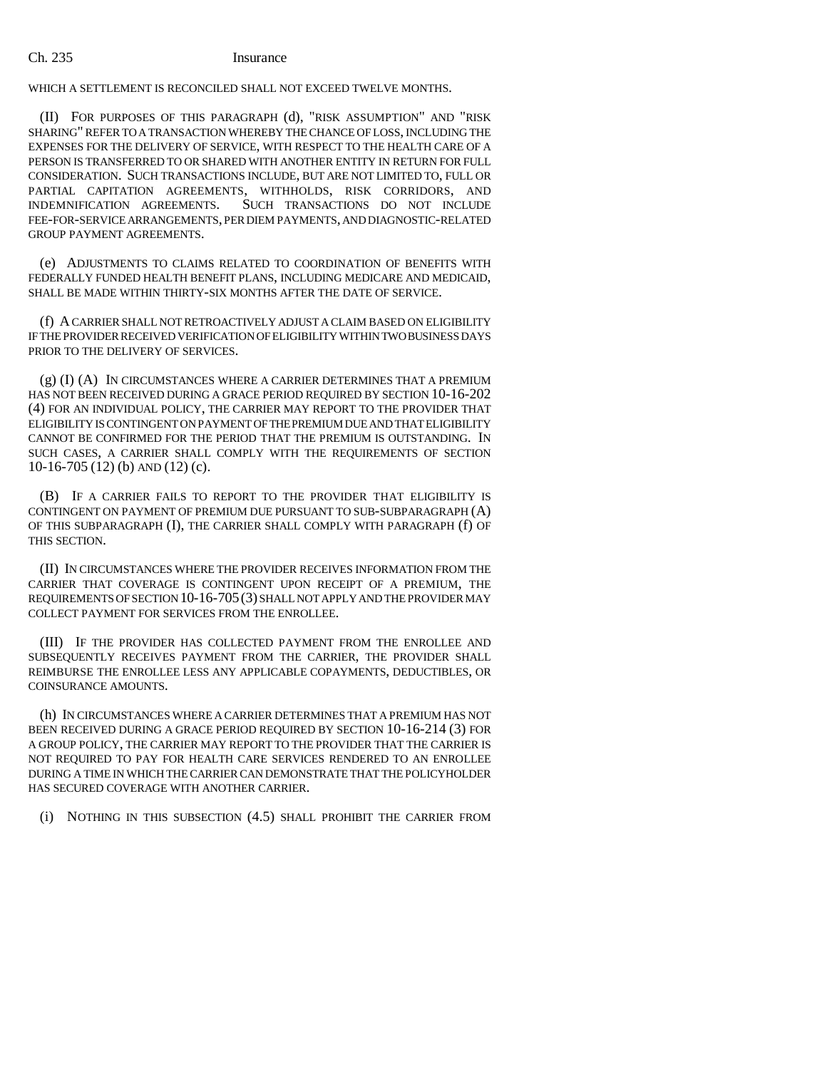#### Ch. 235 Insurance

WHICH A SETTLEMENT IS RECONCILED SHALL NOT EXCEED TWELVE MONTHS.

(II) FOR PURPOSES OF THIS PARAGRAPH (d), "RISK ASSUMPTION" AND "RISK SHARING" REFER TO A TRANSACTION WHEREBY THE CHANCE OF LOSS, INCLUDING THE EXPENSES FOR THE DELIVERY OF SERVICE, WITH RESPECT TO THE HEALTH CARE OF A PERSON IS TRANSFERRED TO OR SHARED WITH ANOTHER ENTITY IN RETURN FOR FULL CONSIDERATION. SUCH TRANSACTIONS INCLUDE, BUT ARE NOT LIMITED TO, FULL OR PARTIAL CAPITATION AGREEMENTS, WITHHOLDS, RISK CORRIDORS, AND INDEMNIFICATION AGREEMENTS. SUCH TRANSACTIONS DO NOT INCLUDE SUCH TRANSACTIONS DO NOT INCLUDE FEE-FOR-SERVICE ARRANGEMENTS, PER DIEM PAYMENTS, AND DIAGNOSTIC-RELATED GROUP PAYMENT AGREEMENTS.

(e) ADJUSTMENTS TO CLAIMS RELATED TO COORDINATION OF BENEFITS WITH FEDERALLY FUNDED HEALTH BENEFIT PLANS, INCLUDING MEDICARE AND MEDICAID, SHALL BE MADE WITHIN THIRTY-SIX MONTHS AFTER THE DATE OF SERVICE.

(f) A CARRIER SHALL NOT RETROACTIVELY ADJUST A CLAIM BASED ON ELIGIBILITY IF THE PROVIDER RECEIVED VERIFICATION OF ELIGIBILITY WITHIN TWO BUSINESS DAYS PRIOR TO THE DELIVERY OF SERVICES.

(g) (I) (A) IN CIRCUMSTANCES WHERE A CARRIER DETERMINES THAT A PREMIUM HAS NOT BEEN RECEIVED DURING A GRACE PERIOD REQUIRED BY SECTION 10-16-202 (4) FOR AN INDIVIDUAL POLICY, THE CARRIER MAY REPORT TO THE PROVIDER THAT ELIGIBILITY IS CONTINGENT ON PAYMENT OF THE PREMIUM DUE AND THAT ELIGIBILITY CANNOT BE CONFIRMED FOR THE PERIOD THAT THE PREMIUM IS OUTSTANDING. IN SUCH CASES, A CARRIER SHALL COMPLY WITH THE REQUIREMENTS OF SECTION 10-16-705 (12) (b) AND (12) (c).

(B) IF A CARRIER FAILS TO REPORT TO THE PROVIDER THAT ELIGIBILITY IS CONTINGENT ON PAYMENT OF PREMIUM DUE PURSUANT TO SUB-SUBPARAGRAPH (A) OF THIS SUBPARAGRAPH (I), THE CARRIER SHALL COMPLY WITH PARAGRAPH (f) OF THIS SECTION.

(II) IN CIRCUMSTANCES WHERE THE PROVIDER RECEIVES INFORMATION FROM THE CARRIER THAT COVERAGE IS CONTINGENT UPON RECEIPT OF A PREMIUM, THE REQUIREMENTS OF SECTION 10-16-705(3) SHALL NOT APPLY AND THE PROVIDER MAY COLLECT PAYMENT FOR SERVICES FROM THE ENROLLEE.

(III) IF THE PROVIDER HAS COLLECTED PAYMENT FROM THE ENROLLEE AND SUBSEQUENTLY RECEIVES PAYMENT FROM THE CARRIER, THE PROVIDER SHALL REIMBURSE THE ENROLLEE LESS ANY APPLICABLE COPAYMENTS, DEDUCTIBLES, OR COINSURANCE AMOUNTS.

(h) IN CIRCUMSTANCES WHERE A CARRIER DETERMINES THAT A PREMIUM HAS NOT BEEN RECEIVED DURING A GRACE PERIOD REQUIRED BY SECTION 10-16-214 (3) FOR A GROUP POLICY, THE CARRIER MAY REPORT TO THE PROVIDER THAT THE CARRIER IS NOT REQUIRED TO PAY FOR HEALTH CARE SERVICES RENDERED TO AN ENROLLEE DURING A TIME IN WHICH THE CARRIER CAN DEMONSTRATE THAT THE POLICYHOLDER HAS SECURED COVERAGE WITH ANOTHER CARRIER.

(i) NOTHING IN THIS SUBSECTION (4.5) SHALL PROHIBIT THE CARRIER FROM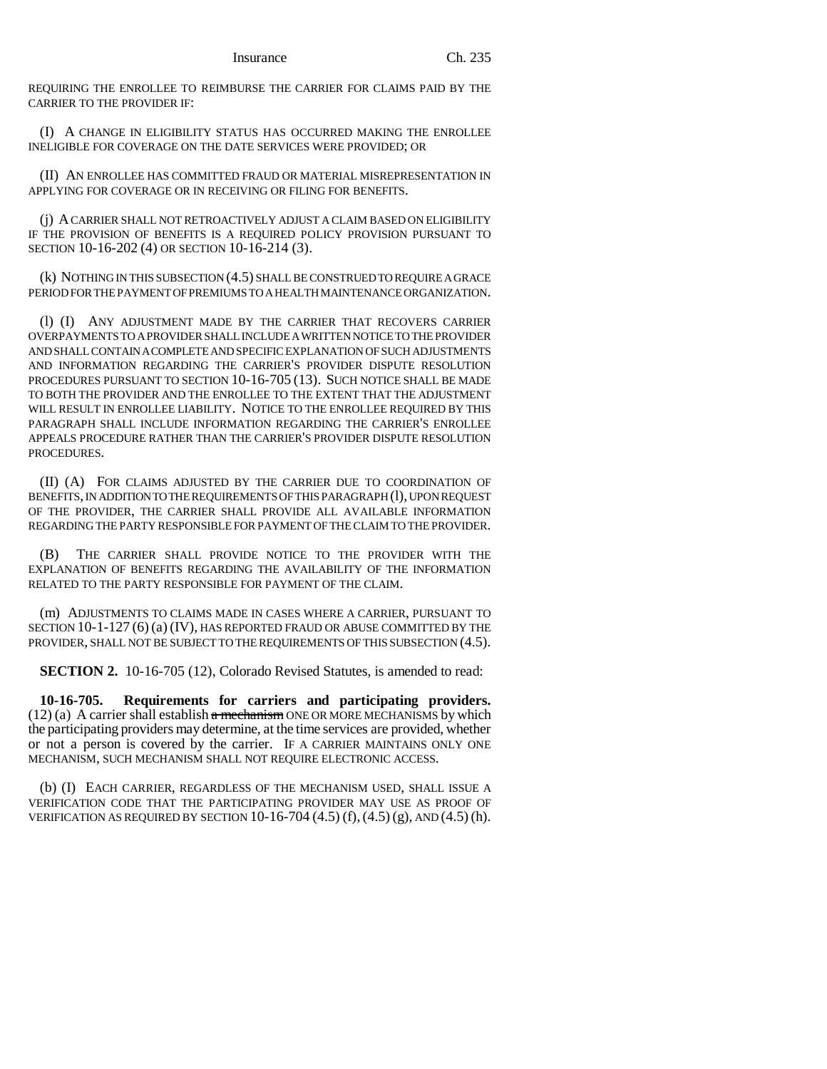REQUIRING THE ENROLLEE TO REIMBURSE THE CARRIER FOR CLAIMS PAID BY THE CARRIER TO THE PROVIDER IF:

(I) A CHANGE IN ELIGIBILITY STATUS HAS OCCURRED MAKING THE ENROLLEE INELIGIBLE FOR COVERAGE ON THE DATE SERVICES WERE PROVIDED; OR

(II) AN ENROLLEE HAS COMMITTED FRAUD OR MATERIAL MISREPRESENTATION IN APPLYING FOR COVERAGE OR IN RECEIVING OR FILING FOR BENEFITS.

(j) A CARRIER SHALL NOT RETROACTIVELY ADJUST A CLAIM BASED ON ELIGIBILITY IF THE PROVISION OF BENEFITS IS A REQUIRED POLICY PROVISION PURSUANT TO SECTION 10-16-202 (4) OR SECTION 10-16-214 (3).

(k) NOTHING IN THIS SUBSECTION (4.5) SHALL BE CONSTRUED TO REQUIRE A GRACE PERIOD FOR THE PAYMENT OF PREMIUMS TO A HEALTH MAINTENANCE ORGANIZATION.

(l) (I) ANY ADJUSTMENT MADE BY THE CARRIER THAT RECOVERS CARRIER OVERPAYMENTS TO A PROVIDER SHALL INCLUDE A WRITTEN NOTICE TO THE PROVIDER AND SHALL CONTAIN A COMPLETE AND SPECIFIC EXPLANATION OF SUCH ADJUSTMENTS AND INFORMATION REGARDING THE CARRIER'S PROVIDER DISPUTE RESOLUTION PROCEDURES PURSUANT TO SECTION 10-16-705 (13). SUCH NOTICE SHALL BE MADE TO BOTH THE PROVIDER AND THE ENROLLEE TO THE EXTENT THAT THE ADJUSTMENT WILL RESULT IN ENROLLEE LIABILITY. NOTICE TO THE ENROLLEE REQUIRED BY THIS PARAGRAPH SHALL INCLUDE INFORMATION REGARDING THE CARRIER'S ENROLLEE APPEALS PROCEDURE RATHER THAN THE CARRIER'S PROVIDER DISPUTE RESOLUTION PROCEDURES.

(II) (A) FOR CLAIMS ADJUSTED BY THE CARRIER DUE TO COORDINATION OF BENEFITS, IN ADDITION TO THE REQUIREMENTS OF THIS PARAGRAPH (1), UPON REQUEST OF THE PROVIDER, THE CARRIER SHALL PROVIDE ALL AVAILABLE INFORMATION REGARDING THE PARTY RESPONSIBLE FOR PAYMENT OF THE CLAIM TO THE PROVIDER.

(B) THE CARRIER SHALL PROVIDE NOTICE TO THE PROVIDER WITH THE EXPLANATION OF BENEFITS REGARDING THE AVAILABILITY OF THE INFORMATION RELATED TO THE PARTY RESPONSIBLE FOR PAYMENT OF THE CLAIM.

(m) ADJUSTMENTS TO CLAIMS MADE IN CASES WHERE A CARRIER, PURSUANT TO SECTION 10-1-127 (6) (a) (IV), HAS REPORTED FRAUD OR ABUSE COMMITTED BY THE PROVIDER, SHALL NOT BE SUBJECT TO THE REQUIREMENTS OF THIS SUBSECTION (4.5).

**SECTION 2.** 10-16-705 (12), Colorado Revised Statutes, is amended to read:

**10-16-705. Requirements for carriers and participating providers.**  $(12)$  (a) A carrier shall establish a mechanism ONE OR MORE MECHANISMS by which the participating providers may determine, at the time services are provided, whether or not a person is covered by the carrier. IF A CARRIER MAINTAINS ONLY ONE MECHANISM, SUCH MECHANISM SHALL NOT REQUIRE ELECTRONIC ACCESS.

(b) (I) EACH CARRIER, REGARDLESS OF THE MECHANISM USED, SHALL ISSUE A VERIFICATION CODE THAT THE PARTICIPATING PROVIDER MAY USE AS PROOF OF VERIFICATION AS REQUIRED BY SECTION 10-16-704 (4.5) (f),(4.5) (g), AND (4.5) (h).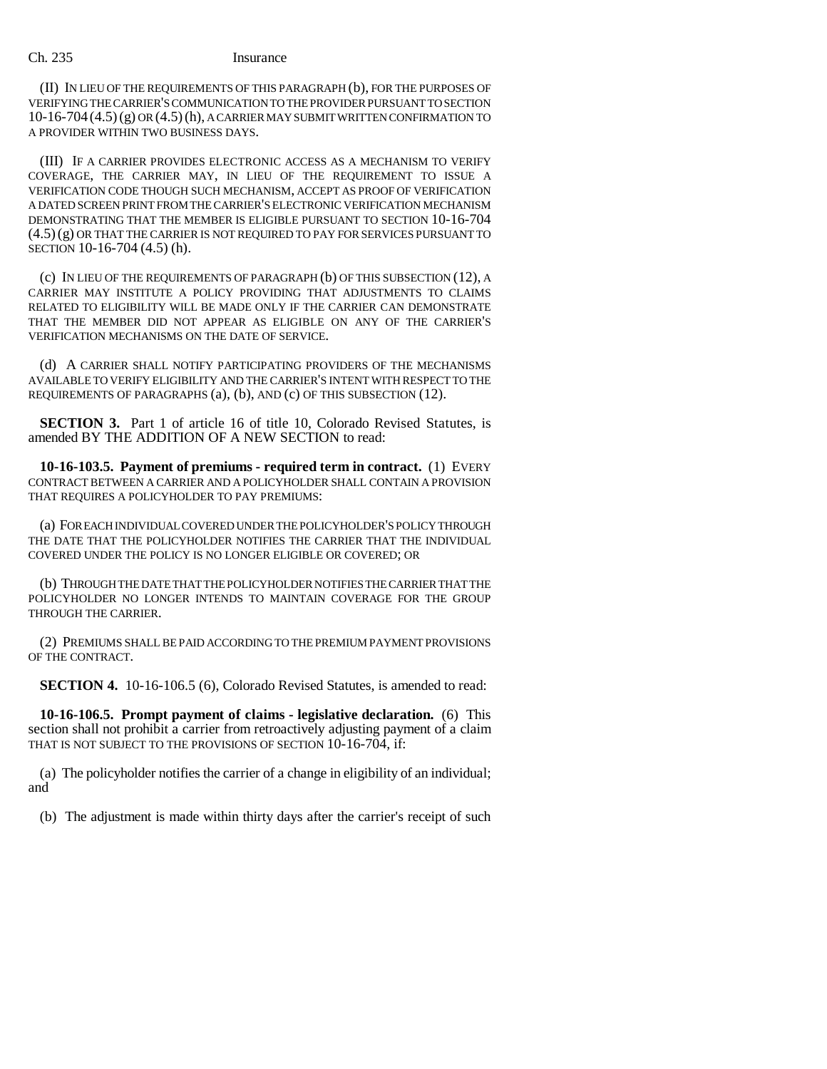### Ch. 235 Insurance

(II) IN LIEU OF THE REQUIREMENTS OF THIS PARAGRAPH (b), FOR THE PURPOSES OF VERIFYING THE CARRIER'S COMMUNICATION TO THE PROVIDER PURSUANT TO SECTION  $10-16-704(4.5)(g)$  OR  $(4.5)(h)$ , A CARRIER MAY SUBMIT WRITTEN CONFIRMATION TO A PROVIDER WITHIN TWO BUSINESS DAYS.

(III) IF A CARRIER PROVIDES ELECTRONIC ACCESS AS A MECHANISM TO VERIFY COVERAGE, THE CARRIER MAY, IN LIEU OF THE REQUIREMENT TO ISSUE A VERIFICATION CODE THOUGH SUCH MECHANISM, ACCEPT AS PROOF OF VERIFICATION A DATED SCREEN PRINT FROM THE CARRIER'S ELECTRONIC VERIFICATION MECHANISM DEMONSTRATING THAT THE MEMBER IS ELIGIBLE PURSUANT TO SECTION 10-16-704 (4.5)(g) OR THAT THE CARRIER IS NOT REQUIRED TO PAY FOR SERVICES PURSUANT TO SECTION 10-16-704 (4.5) (h).

(c) IN LIEU OF THE REQUIREMENTS OF PARAGRAPH (b) OF THIS SUBSECTION (12), A CARRIER MAY INSTITUTE A POLICY PROVIDING THAT ADJUSTMENTS TO CLAIMS RELATED TO ELIGIBILITY WILL BE MADE ONLY IF THE CARRIER CAN DEMONSTRATE THAT THE MEMBER DID NOT APPEAR AS ELIGIBLE ON ANY OF THE CARRIER'S VERIFICATION MECHANISMS ON THE DATE OF SERVICE.

(d) A CARRIER SHALL NOTIFY PARTICIPATING PROVIDERS OF THE MECHANISMS AVAILABLE TO VERIFY ELIGIBILITY AND THE CARRIER'S INTENT WITH RESPECT TO THE REQUIREMENTS OF PARAGRAPHS (a), (b), AND (c) OF THIS SUBSECTION (12).

**SECTION 3.** Part 1 of article 16 of title 10, Colorado Revised Statutes, is amended BY THE ADDITION OF A NEW SECTION to read:

**10-16-103.5. Payment of premiums - required term in contract.** (1) EVERY CONTRACT BETWEEN A CARRIER AND A POLICYHOLDER SHALL CONTAIN A PROVISION THAT REQUIRES A POLICYHOLDER TO PAY PREMIUMS:

(a) FOR EACH INDIVIDUAL COVERED UNDER THE POLICYHOLDER'S POLICY THROUGH THE DATE THAT THE POLICYHOLDER NOTIFIES THE CARRIER THAT THE INDIVIDUAL COVERED UNDER THE POLICY IS NO LONGER ELIGIBLE OR COVERED; OR

(b) THROUGH THE DATE THAT THE POLICYHOLDER NOTIFIES THE CARRIER THAT THE POLICYHOLDER NO LONGER INTENDS TO MAINTAIN COVERAGE FOR THE GROUP THROUGH THE CARRIER.

(2) PREMIUMS SHALL BE PAID ACCORDING TO THE PREMIUM PAYMENT PROVISIONS OF THE CONTRACT.

**SECTION 4.** 10-16-106.5 (6), Colorado Revised Statutes, is amended to read:

**10-16-106.5. Prompt payment of claims - legislative declaration.** (6) This section shall not prohibit a carrier from retroactively adjusting payment of a claim THAT IS NOT SUBJECT TO THE PROVISIONS OF SECTION 10-16-704, if:

(a) The policyholder notifies the carrier of a change in eligibility of an individual; and

(b) The adjustment is made within thirty days after the carrier's receipt of such